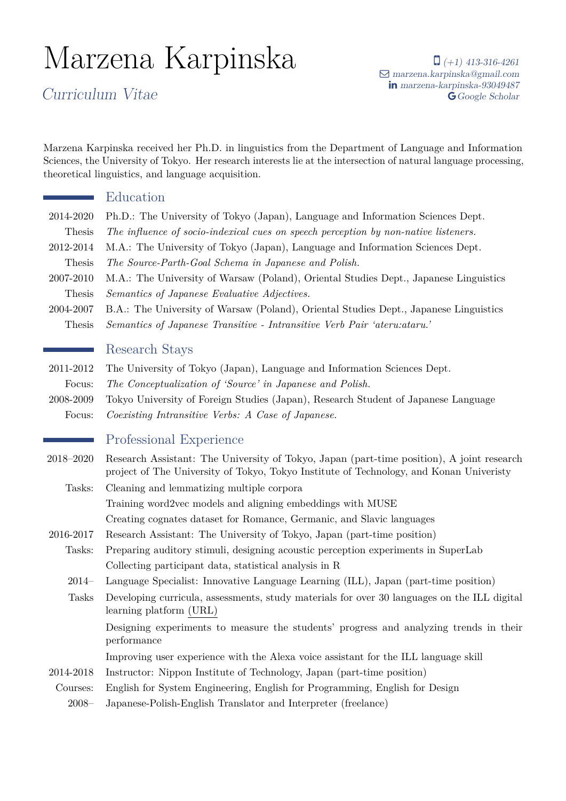# Marzena Karpinska

Curriculum Vitae

 $\Box$  (+1) 413-316-4261 Q [marzena.karpinska@gmail.com](mailto:marzena.karpinska@gmail.com) in [marzena-karpinska-93049487](http://www.linkedin.com/in/marzena-karpinska-93049487) G [Google Scholar](https://scholar.google.com/citations?hl=en&user=-sWY5igAAAAJ)

Marzena Karpinska received her Ph.D. in linguistics from the Department of Language and Information Sciences, the University of Tokyo. Her research interests lie at the intersection of natural language processing, theoretical linguistics, and language acquisition.

#### Education

- 2014-2020 Ph.D.: The University of Tokyo (Japan), Language and Information Sciences Dept.
- Thesis *The influence of socio-indexical cues on speech perception by non-native listeners.*
- 2012-2014 M.A.: The University of Tokyo (Japan), Language and Information Sciences Dept. Thesis *The Source-Parth-Goal Schema in Japanese and Polish.*
- 2007-2010 M.A.: The University of Warsaw (Poland), Oriental Studies Dept., Japanese Linguistics Thesis *Semantics of Japanese Evaluative Adjectives.*
- 2004-2007 B.A.: The University of Warsaw (Poland), Oriental Studies Dept., Japanese Linguistics Thesis *Semantics of Japanese Transitive - Intransitive Verb Pair 'ateru:ataru.'*

#### Research Stays

- 2011-2012 The University of Tokyo (Japan), Language and Information Sciences Dept.
- Focus: *The Conceptualization of 'Source' in Japanese and Polish.*
- 2008-2009 Tokyo University of Foreign Studies (Japan), Research Student of Japanese Language Focus: *Coexisting Intransitive Verbs: A Case of Japanese.*

## Professional Experience

- 2018–2020 Research Assistant: The University of Tokyo, Japan (part-time position), A joint research project of The University of Tokyo, Tokyo Institute of Technology, and Konan Univeristy
	- Tasks: Cleaning and lemmatizing multiple corpora Training word2vec models and aligning embeddings with MUSE Creating cognates dataset for Romance, Germanic, and Slavic languages
- 2016-2017 Research Assistant: The University of Tokyo, Japan (part-time position)
	- Tasks: Preparing auditory stimuli, designing acoustic perception experiments in SuperLab Collecting participant data, statistical analysis in R
		- 2014– Language Specialist: Innovative Language Learning (ILL), Japan (part-time position)
		- Tasks Developing curricula, assessments, study materials for over 30 languages on the ILL digital learning platform [\(URL\)](https://www.innovativelanguage.com/online-language-courses)
			- Designing experiments to measure the students' progress and analyzing trends in their performance
			- Improving user experience with the Alexa voice assistant for the ILL language skill
- 2014-2018 Instructor: Nippon Institute of Technology, Japan (part-time position)
- Courses: English for System Engineering, English for Programming, English for Design
	- 2008– Japanese-Polish-English Translator and Interpreter (freelance)